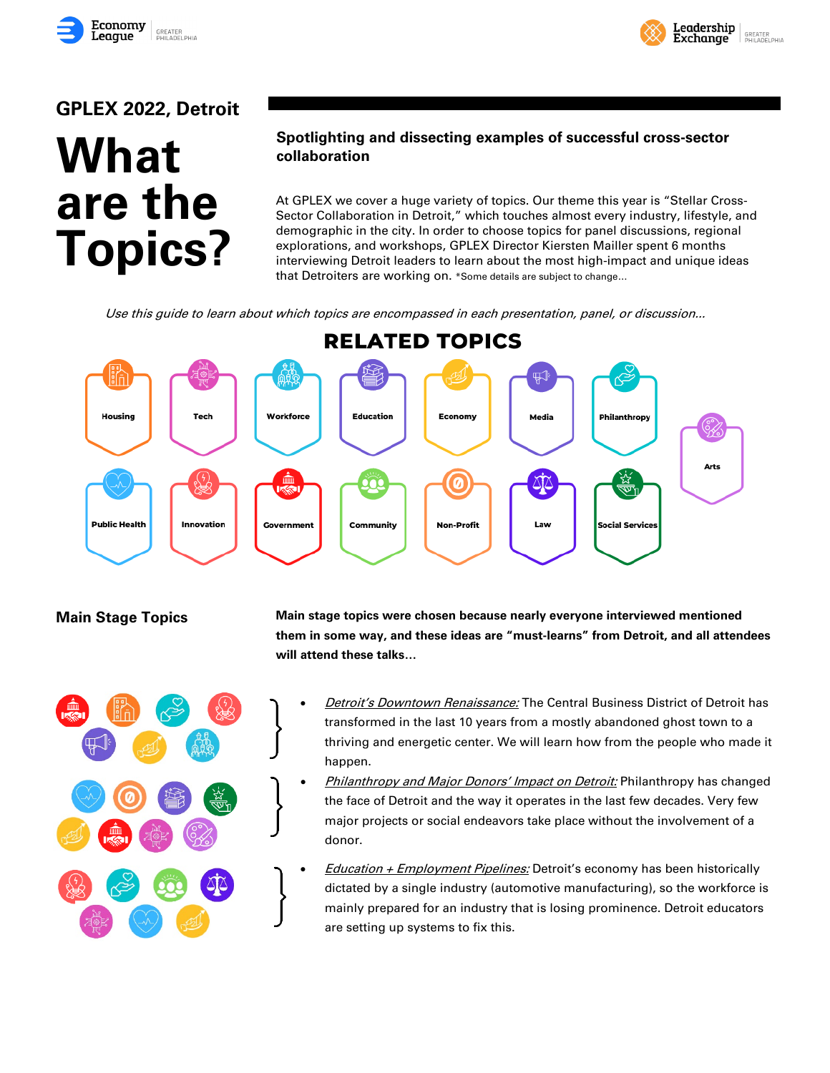



# **GPLEX 2022, Detroit**

# **What are the Topics?**

## **Spotlighting and dissecting examples of successful cross-sector collaboration**

At GPLEX we cover a huge variety of topics. Our theme this year is "Stellar Cross-Sector Collaboration in Detroit," which touches almost every industry, lifestyle, and demographic in the city. In order to choose topics for panel discussions, regional explorations, and workshops, GPLEX Director Kiersten Mailler spent 6 months interviewing Detroit leaders to learn about the most high-impact and unique ideas that Detroiters are working on. \*Some details are subject to change…

Use this guide to learn about which topics are encompassed in each presentation, panel, or discussion...





**Main Stage Topics Main stage topics were chosen because nearly everyone interviewed mentioned them in some way, and these ideas are "must-learns" from Detroit, and all attendees will attend these talks…**

- **Detroit's Downtown Renaissance:** The Central Business District of Detroit has transformed in the last 10 years from a mostly abandoned ghost town to a thriving and energetic center. We will learn how from the people who made it happen.
- **Philanthropy and Major Donors' Impact on Detroit:** Philanthropy has changed the face of Detroit and the way it operates in the last few decades. Very few major projects or social endeavors take place without the involvement of a donor.
- *Education + Employment Pipelines:* Detroit's economy has been historically dictated by a single industry (automotive manufacturing), so the workforce is mainly prepared for an industry that is losing prominence. Detroit educators are setting up systems to fix this.